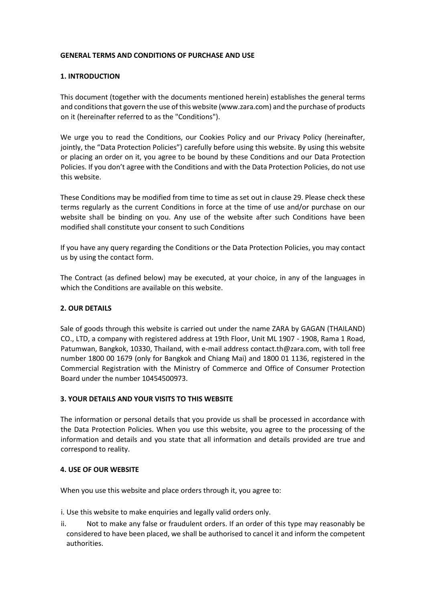### **GENERAL TERMS AND CONDITIONS OF PURCHASE AND USE**

### **1. INTRODUCTION**

This document (together with the documents mentioned herein) establishes the general terms and conditions that govern the use of this website (www.zara.com) and the purchase of products on it (hereinafter referred to as the "Conditions").

We urge you to read the Conditions, our Cookies Policy and our Privacy Policy (hereinafter, jointly, the "Data Protection Policies") carefully before using this website. By using this website or placing an order on it, you agree to be bound by these Conditions and our Data Protection Policies. If you don't agree with the Conditions and with the Data Protection Policies, do not use this website.

These Conditions may be modified from time to time as set out in clause 29. Please check these terms regularly as the current Conditions in force at the time of use and/or purchase on our website shall be binding on you. Any use of the website after such Conditions have been modified shall constitute your consent to such Conditions

If you have any query regarding the Conditions or the Data Protection Policies, you may contact us by using the contact form.

The Contract (as defined below) may be executed, at your choice, in any of the languages in which the Conditions are available on this website.

## **2. OUR DETAILS**

Sale of goods through this website is carried out under the name ZARA by GAGAN (THAILAND) CO., LTD, a company with registered address at 19th Floor, Unit ML 1907 - 1908, Rama 1 Road, Patumwan, Bangkok, 10330, Thailand, with e-mail address contact.th@zara.com, with toll free number 1800 00 1679 (only for Bangkok and Chiang Mai) and 1800 01 1136, registered in the Commercial Registration with the Ministry of Commerce and Office of Consumer Protection Board under the number 10454500973.

### **3. YOUR DETAILS AND YOUR VISITS TO THIS WEBSITE**

The information or personal details that you provide us shall be processed in accordance with the Data Protection Policies. When you use this website, you agree to the processing of the information and details and you state that all information and details provided are true and correspond to reality.

### **4. USE OF OUR WEBSITE**

When you use this website and place orders through it, you agree to:

i. Use this website to make enquiries and legally valid orders only.

ii. Not to make any false or fraudulent orders. If an order of this type may reasonably be considered to have been placed, we shall be authorised to cancel it and inform the competent authorities.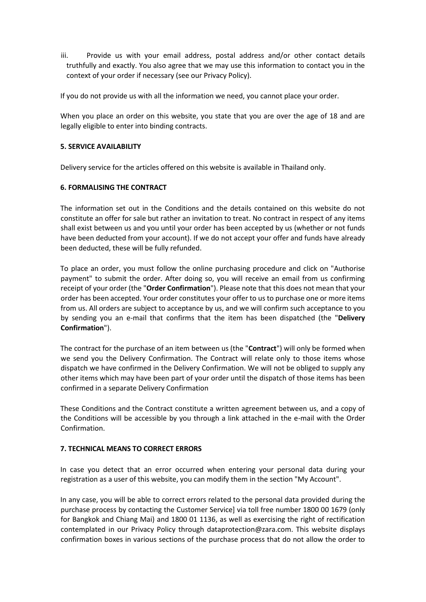iii. Provide us with your email address, postal address and/or other contact details truthfully and exactly. You also agree that we may use this information to contact you in the context of your order if necessary (see our Privacy Policy).

If you do not provide us with all the information we need, you cannot place your order.

When you place an order on this website, you state that you are over the age of 18 and are legally eligible to enter into binding contracts.

### **5. SERVICE AVAILABILITY**

Delivery service for the articles offered on this website is available in Thailand only.

### **6. FORMALISING THE CONTRACT**

The information set out in the Conditions and the details contained on this website do not constitute an offer for sale but rather an invitation to treat. No contract in respect of any items shall exist between us and you until your order has been accepted by us (whether or not funds have been deducted from your account). If we do not accept your offer and funds have already been deducted, these will be fully refunded.

To place an order, you must follow the online purchasing procedure and click on "Authorise payment" to submit the order. After doing so, you will receive an email from us confirming receipt of your order (the "**Order Confirmation**"). Please note that this does not mean that your order has been accepted. Your order constitutes your offer to us to purchase one or more items from us. All orders are subject to acceptance by us, and we will confirm such acceptance to you by sending you an e-mail that confirms that the item has been dispatched (the "**Delivery Confirmation**").

The contract for the purchase of an item between us (the "**Contract**") will only be formed when we send you the Delivery Confirmation. The Contract will relate only to those items whose dispatch we have confirmed in the Delivery Confirmation. We will not be obliged to supply any other items which may have been part of your order until the dispatch of those items has been confirmed in a separate Delivery Confirmation

These Conditions and the Contract constitute a written agreement between us, and a copy of the Conditions will be accessible by you through a link attached in the e-mail with the Order Confirmation.

### **7. TECHNICAL MEANS TO CORRECT ERRORS**

In case you detect that an error occurred when entering your personal data during your registration as a user of this website, you can modify them in the section "My Account".

In any case, you will be able to correct errors related to the personal data provided during the purchase process by contacting the Customer Service] via toll free number 1800 00 1679 (only for Bangkok and Chiang Mai) and 1800 01 1136, as well as exercising the right of rectification contemplated in our Privacy Policy through dataprotection@zara.com. This website displays confirmation boxes in various sections of the purchase process that do not allow the order to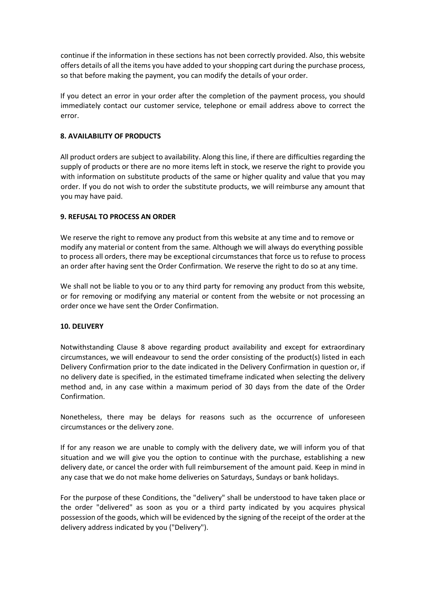continue if the information in these sections has not been correctly provided. Also, this website offers details of all the items you have added to your shopping cart during the purchase process, so that before making the payment, you can modify the details of your order.

If you detect an error in your order after the completion of the payment process, you should immediately contact our customer service, telephone or email address above to correct the error.

## **8. AVAILABILITY OF PRODUCTS**

All product orders are subject to availability. Along this line, if there are difficulties regarding the supply of products or there are no more items left in stock, we reserve the right to provide you with information on substitute products of the same or higher quality and value that you may order. If you do not wish to order the substitute products, we will reimburse any amount that you may have paid.

### **9. REFUSAL TO PROCESS AN ORDER**

We reserve the right to remove any product from this website at any time and to remove or modify any material or content from the same. Although we will always do everything possible to process all orders, there may be exceptional circumstances that force us to refuse to process an order after having sent the Order Confirmation. We reserve the right to do so at any time.

We shall not be liable to you or to any third party for removing any product from this website, or for removing or modifying any material or content from the website or not processing an order once we have sent the Order Confirmation.

### **10. DELIVERY**

Notwithstanding Clause 8 above regarding product availability and except for extraordinary circumstances, we will endeavour to send the order consisting of the product(s) listed in each Delivery Confirmation prior to the date indicated in the Delivery Confirmation in question or, if no delivery date is specified, in the estimated timeframe indicated when selecting the delivery method and, in any case within a maximum period of 30 days from the date of the Order Confirmation.

Nonetheless, there may be delays for reasons such as the occurrence of unforeseen circumstances or the delivery zone.

If for any reason we are unable to comply with the delivery date, we will inform you of that situation and we will give you the option to continue with the purchase, establishing a new delivery date, or cancel the order with full reimbursement of the amount paid. Keep in mind in any case that we do not make home deliveries on Saturdays, Sundays or bank holidays.

For the purpose of these Conditions, the "delivery" shall be understood to have taken place or the order "delivered" as soon as you or a third party indicated by you acquires physical possession of the goods, which will be evidenced by the signing of the receipt of the order at the delivery address indicated by you ("Delivery").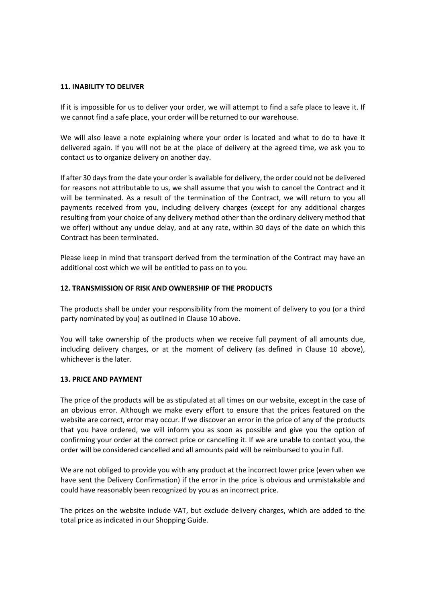### **11. INABILITY TO DELIVER**

If it is impossible for us to deliver your order, we will attempt to find a safe place to leave it. If we cannot find a safe place, your order will be returned to our warehouse.

We will also leave a note explaining where your order is located and what to do to have it delivered again. If you will not be at the place of delivery at the agreed time, we ask you to contact us to organize delivery on another day.

If after 30 days from the date your order is available for delivery, the order could not be delivered for reasons not attributable to us, we shall assume that you wish to cancel the Contract and it will be terminated. As a result of the termination of the Contract, we will return to you all payments received from you, including delivery charges (except for any additional charges resulting from your choice of any delivery method other than the ordinary delivery method that we offer) without any undue delay, and at any rate, within 30 days of the date on which this Contract has been terminated.

Please keep in mind that transport derived from the termination of the Contract may have an additional cost which we will be entitled to pass on to you.

### **12. TRANSMISSION OF RISK AND OWNERSHIP OF THE PRODUCTS**

The products shall be under your responsibility from the moment of delivery to you (or a third party nominated by you) as outlined in Clause 10 above.

You will take ownership of the products when we receive full payment of all amounts due, including delivery charges, or at the moment of delivery (as defined in Clause 10 above), whichever is the later.

### **13. PRICE AND PAYMENT**

The price of the products will be as stipulated at all times on our website, except in the case of an obvious error. Although we make every effort to ensure that the prices featured on the website are correct, error may occur. If we discover an error in the price of any of the products that you have ordered, we will inform you as soon as possible and give you the option of confirming your order at the correct price or cancelling it. If we are unable to contact you, the order will be considered cancelled and all amounts paid will be reimbursed to you in full.

We are not obliged to provide you with any product at the incorrect lower price (even when we have sent the Delivery Confirmation) if the error in the price is obvious and unmistakable and could have reasonably been recognized by you as an incorrect price.

The prices on the website include VAT, but exclude delivery charges, which are added to the total price as indicated in our Shopping Guide.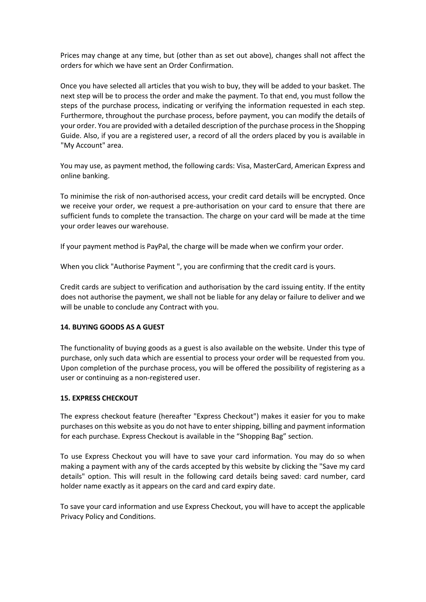Prices may change at any time, but (other than as set out above), changes shall not affect the orders for which we have sent an Order Confirmation.

Once you have selected all articles that you wish to buy, they will be added to your basket. The next step will be to process the order and make the payment. To that end, you must follow the steps of the purchase process, indicating or verifying the information requested in each step. Furthermore, throughout the purchase process, before payment, you can modify the details of your order. You are provided with a detailed description of the purchase process in the Shopping Guide. Also, if you are a registered user, a record of all the orders placed by you is available in "My Account" area.

You may use, as payment method, the following cards: Visa, MasterCard, American Express and online banking.

To minimise the risk of non-authorised access, your credit card details will be encrypted. Once we receive your order, we request a pre-authorisation on your card to ensure that there are sufficient funds to complete the transaction. The charge on your card will be made at the time your order leaves our warehouse.

If your payment method is PayPal, the charge will be made when we confirm your order.

When you click "Authorise Payment ", you are confirming that the credit card is yours.

Credit cards are subject to verification and authorisation by the card issuing entity. If the entity does not authorise the payment, we shall not be liable for any delay or failure to deliver and we will be unable to conclude any Contract with you.

## **14. BUYING GOODS AS A GUEST**

The functionality of buying goods as a guest is also available on the website. Under this type of purchase, only such data which are essential to process your order will be requested from you. Upon completion of the purchase process, you will be offered the possibility of registering as a user or continuing as a non-registered user.

### **15. EXPRESS CHECKOUT**

The express checkout feature (hereafter "Express Checkout") makes it easier for you to make purchases on this website as you do not have to enter shipping, billing and payment information for each purchase. Express Checkout is available in the "Shopping Bag" section.

To use Express Checkout you will have to save your card information. You may do so when making a payment with any of the cards accepted by this website by clicking the "Save my card details" option. This will result in the following card details being saved: card number, card holder name exactly as it appears on the card and card expiry date.

To save your card information and use Express Checkout, you will have to accept the applicable Privacy Policy and Conditions.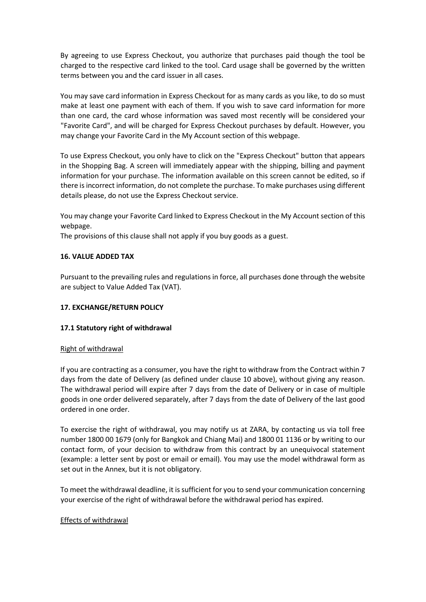By agreeing to use Express Checkout, you authorize that purchases paid though the tool be charged to the respective card linked to the tool. Card usage shall be governed by the written terms between you and the card issuer in all cases.

You may save card information in Express Checkout for as many cards as you like, to do so must make at least one payment with each of them. If you wish to save card information for more than one card, the card whose information was saved most recently will be considered your "Favorite Card", and will be charged for Express Checkout purchases by default. However, you may change your Favorite Card in the My Account section of this webpage.

To use Express Checkout, you only have to click on the "Express Checkout" button that appears in the Shopping Bag. A screen will immediately appear with the shipping, billing and payment information for your purchase. The information available on this screen cannot be edited, so if there is incorrect information, do not complete the purchase. To make purchases using different details please, do not use the Express Checkout service.

You may change your Favorite Card linked to Express Checkout in the My Account section of this webpage.

The provisions of this clause shall not apply if you buy goods as a guest.

### **16. VALUE ADDED TAX**

Pursuant to the prevailing rules and regulations in force, all purchases done through the website are subject to Value Added Tax (VAT).

## **17. EXCHANGE/RETURN POLICY**

## **17.1 Statutory right of withdrawal**

### Right of withdrawal

If you are contracting as a consumer, you have the right to withdraw from the Contract within 7 days from the date of Delivery (as defined under clause 10 above), without giving any reason. The withdrawal period will expire after 7 days from the date of Delivery or in case of multiple goods in one order delivered separately, after 7 days from the date of Delivery of the last good ordered in one order.

To exercise the right of withdrawal, you may notify us at ZARA, by contacting us via toll free number 1800 00 1679 (only for Bangkok and Chiang Mai) and 1800 01 1136 or by writing to our contact form, of your decision to withdraw from this contract by an unequivocal statement (example: a letter sent by post or email or email). You may use the model withdrawal form as set out in the Annex, but it is not obligatory.

To meet the withdrawal deadline, it is sufficient for you to send your communication concerning your exercise of the right of withdrawal before the withdrawal period has expired.

### Effects of withdrawal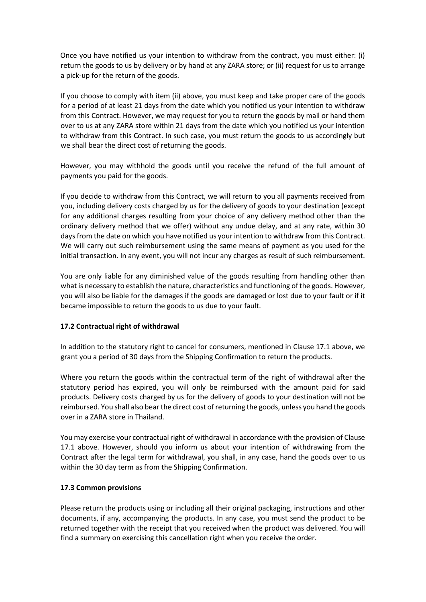Once you have notified us your intention to withdraw from the contract, you must either: (i) return the goods to us by delivery or by hand at any ZARA store; or (ii) request for us to arrange a pick-up for the return of the goods.

If you choose to comply with item (ii) above, you must keep and take proper care of the goods for a period of at least 21 days from the date which you notified us your intention to withdraw from this Contract. However, we may request for you to return the goods by mail or hand them over to us at any ZARA store within 21 days from the date which you notified us your intention to withdraw from this Contract. In such case, you must return the goods to us accordingly but we shall bear the direct cost of returning the goods.

However, you may withhold the goods until you receive the refund of the full amount of payments you paid for the goods.

If you decide to withdraw from this Contract, we will return to you all payments received from you, including delivery costs charged by us for the delivery of goods to your destination (except for any additional charges resulting from your choice of any delivery method other than the ordinary delivery method that we offer) without any undue delay, and at any rate, within 30 days from the date on which you have notified us your intention to withdraw from this Contract. We will carry out such reimbursement using the same means of payment as you used for the initial transaction. In any event, you will not incur any charges as result of such reimbursement.

You are only liable for any diminished value of the goods resulting from handling other than what is necessary to establish the nature, characteristics and functioning of the goods. However, you will also be liable for the damages if the goods are damaged or lost due to your fault or if it became impossible to return the goods to us due to your fault.

## **17.2 Contractual right of withdrawal**

In addition to the statutory right to cancel for consumers, mentioned in Clause 17.1 above, we grant you a period of 30 days from the Shipping Confirmation to return the products.

Where you return the goods within the contractual term of the right of withdrawal after the statutory period has expired, you will only be reimbursed with the amount paid for said products. Delivery costs charged by us for the delivery of goods to your destination will not be reimbursed. You shall also bear the direct cost of returning the goods, unless you hand the goods over in a ZARA store in Thailand.

You may exercise your contractual right of withdrawal in accordance with the provision of Clause 17.1 above. However, should you inform us about your intention of withdrawing from the Contract after the legal term for withdrawal, you shall, in any case, hand the goods over to us within the 30 day term as from the Shipping Confirmation.

## **17.3 Common provisions**

Please return the products using or including all their original packaging, instructions and other documents, if any, accompanying the products. In any case, you must send the product to be returned together with the receipt that you received when the product was delivered. You will find a summary on exercising this cancellation right when you receive the order.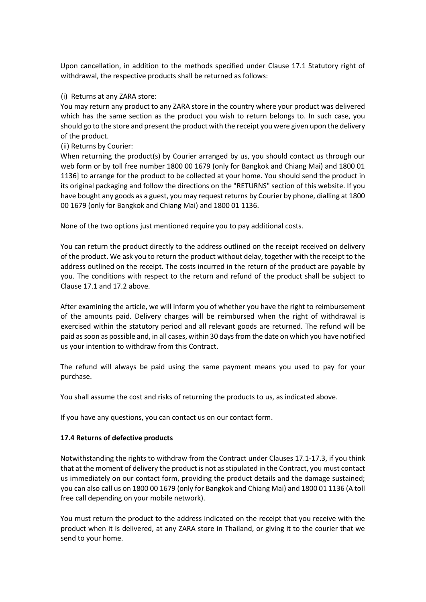Upon cancellation, in addition to the methods specified under Clause 17.1 Statutory right of withdrawal, the respective products shall be returned as follows:

(i) Returns at any ZARA store:

You may return any product to any ZARA store in the country where your product was delivered which has the same section as the product you wish to return belongs to. In such case, you should go to the store and present the product with the receipt you were given upon the delivery of the product.

(ii) Returns by Courier:

When returning the product(s) by Courier arranged by us, you should contact us through our web form or by toll free number 1800 00 1679 (only for Bangkok and Chiang Mai) and 1800 01 1136] to arrange for the product to be collected at your home. You should send the product in its original packaging and follow the directions on the "RETURNS" section of this website. If you have bought any goods as a guest, you may request returns by Courier by phone, dialling at 1800 00 1679 (only for Bangkok and Chiang Mai) and 1800 01 1136.

None of the two options just mentioned require you to pay additional costs.

You can return the product directly to the address outlined on the receipt received on delivery of the product. We ask you to return the product without delay, together with the receipt to the address outlined on the receipt. The costs incurred in the return of the product are payable by you. The conditions with respect to the return and refund of the product shall be subject to Clause 17.1 and 17.2 above.

After examining the article, we will inform you of whether you have the right to reimbursement of the amounts paid. Delivery charges will be reimbursed when the right of withdrawal is exercised within the statutory period and all relevant goods are returned. The refund will be paid as soon as possible and, in all cases, within 30 days from the date on which you have notified us your intention to withdraw from this Contract.

The refund will always be paid using the same payment means you used to pay for your purchase.

You shall assume the cost and risks of returning the products to us, as indicated above.

If you have any questions, you can contact us on our contact form.

## **17.4 Returns of defective products**

Notwithstanding the rights to withdraw from the Contract under Clauses 17.1-17.3, if you think that at the moment of delivery the product is not as stipulated in the Contract, you must contact us immediately on our contact form, providing the product details and the damage sustained; you can also call us on 1800 00 1679 (only for Bangkok and Chiang Mai) and 1800 01 1136 (A toll free call depending on your mobile network).

You must return the product to the address indicated on the receipt that you receive with the product when it is delivered, at any ZARA store in Thailand, or giving it to the courier that we send to your home.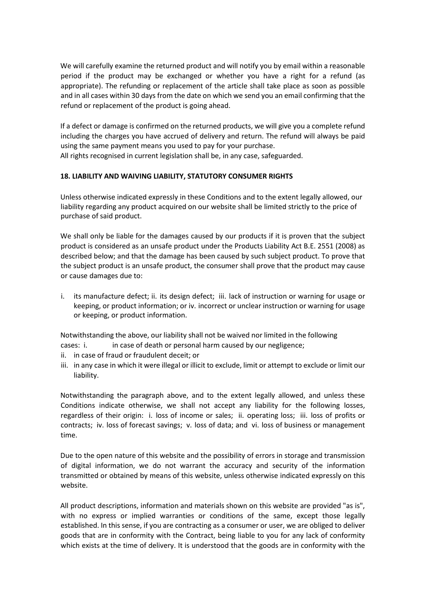We will carefully examine the returned product and will notify you by email within a reasonable period if the product may be exchanged or whether you have a right for a refund (as appropriate). The refunding or replacement of the article shall take place as soon as possible and in all cases within 30 days from the date on which we send you an email confirming that the refund or replacement of the product is going ahead.

If a defect or damage is confirmed on the returned products, we will give you a complete refund including the charges you have accrued of delivery and return. The refund will always be paid using the same payment means you used to pay for your purchase.

All rights recognised in current legislation shall be, in any case, safeguarded.

## **18. LIABILITY AND WAIVING LIABILITY, STATUTORY CONSUMER RIGHTS**

Unless otherwise indicated expressly in these Conditions and to the extent legally allowed, our liability regarding any product acquired on our website shall be limited strictly to the price of purchase of said product.

We shall only be liable for the damages caused by our products if it is proven that the subject product is considered as an unsafe product under the Products Liability Act B.E. 2551 (2008) as described below; and that the damage has been caused by such subject product. To prove that the subject product is an unsafe product, the consumer shall prove that the product may cause or cause damages due to:

i. its manufacture defect; ii. its design defect; iii. lack of instruction or warning for usage or keeping, or product information; or iv. incorrect or unclear instruction or warning for usage or keeping, or product information.

Notwithstanding the above, our liability shall not be waived nor limited in the following

- cases: i. **in case of death or personal harm caused by our negligence;**
- ii. in case of fraud or fraudulent deceit; or
- iii. in any case in which it were illegal or illicit to exclude, limit or attempt to exclude or limit our liability.

Notwithstanding the paragraph above, and to the extent legally allowed, and unless these Conditions indicate otherwise, we shall not accept any liability for the following losses, regardless of their origin: i. loss of income or sales; ii. operating loss; iii. loss of profits or contracts; iv. loss of forecast savings; v. loss of data; and vi. loss of business or management time.

Due to the open nature of this website and the possibility of errors in storage and transmission of digital information, we do not warrant the accuracy and security of the information transmitted or obtained by means of this website, unless otherwise indicated expressly on this website.

All product descriptions, information and materials shown on this website are provided "as is", with no express or implied warranties or conditions of the same, except those legally established. In this sense, if you are contracting as a consumer or user, we are obliged to deliver goods that are in conformity with the Contract, being liable to you for any lack of conformity which exists at the time of delivery. It is understood that the goods are in conformity with the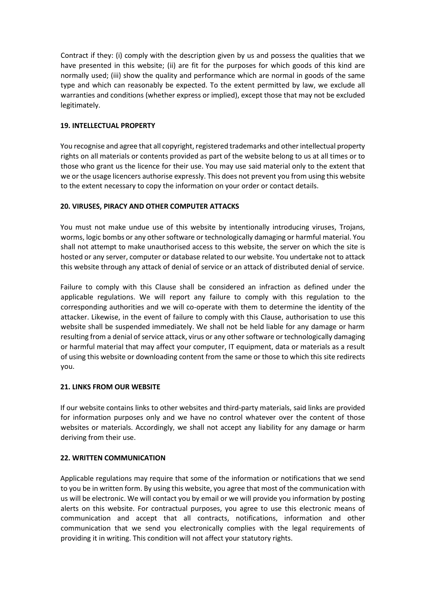Contract if they: (i) comply with the description given by us and possess the qualities that we have presented in this website; (ii) are fit for the purposes for which goods of this kind are normally used; (iii) show the quality and performance which are normal in goods of the same type and which can reasonably be expected. To the extent permitted by law, we exclude all warranties and conditions (whether express or implied), except those that may not be excluded legitimately.

## **19. INTELLECTUAL PROPERTY**

You recognise and agree that all copyright, registered trademarks and other intellectual property rights on all materials or contents provided as part of the website belong to us at all times or to those who grant us the licence for their use. You may use said material only to the extent that we or the usage licencers authorise expressly. This does not prevent you from using this website to the extent necessary to copy the information on your order or contact details.

# **20. VIRUSES, PIRACY AND OTHER COMPUTER ATTACKS**

You must not make undue use of this website by intentionally introducing viruses, Trojans, worms, logic bombs or any other software or technologically damaging or harmful material. You shall not attempt to make unauthorised access to this website, the server on which the site is hosted or any server, computer or database related to our website. You undertake not to attack this website through any attack of denial of service or an attack of distributed denial of service.

Failure to comply with this Clause shall be considered an infraction as defined under the applicable regulations. We will report any failure to comply with this regulation to the corresponding authorities and we will co-operate with them to determine the identity of the attacker. Likewise, in the event of failure to comply with this Clause, authorisation to use this website shall be suspended immediately. We shall not be held liable for any damage or harm resulting from a denial of service attack, virus or any other software or technologically damaging or harmful material that may affect your computer, IT equipment, data or materials as a result of using this website or downloading content from the same or those to which this site redirects you.

## **21. LINKS FROM OUR WEBSITE**

If our website contains links to other websites and third-party materials, said links are provided for information purposes only and we have no control whatever over the content of those websites or materials. Accordingly, we shall not accept any liability for any damage or harm deriving from their use.

## **22. WRITTEN COMMUNICATION**

Applicable regulations may require that some of the information or notifications that we send to you be in written form. By using this website, you agree that most of the communication with us will be electronic. We will contact you by email or we will provide you information by posting alerts on this website. For contractual purposes, you agree to use this electronic means of communication and accept that all contracts, notifications, information and other communication that we send you electronically complies with the legal requirements of providing it in writing. This condition will not affect your statutory rights.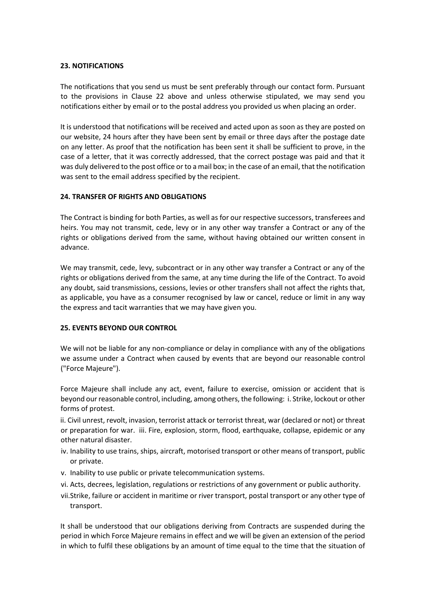### **23. NOTIFICATIONS**

The notifications that you send us must be sent preferably through our contact form. Pursuant to the provisions in Clause 22 above and unless otherwise stipulated, we may send you notifications either by email or to the postal address you provided us when placing an order.

It is understood that notifications will be received and acted upon as soon as they are posted on our website, 24 hours after they have been sent by email or three days after the postage date on any letter. As proof that the notification has been sent it shall be sufficient to prove, in the case of a letter, that it was correctly addressed, that the correct postage was paid and that it was duly delivered to the post office or to a mail box; in the case of an email, that the notification was sent to the email address specified by the recipient.

### **24. TRANSFER OF RIGHTS AND OBLIGATIONS**

The Contract is binding for both Parties, as well as for our respective successors, transferees and heirs. You may not transmit, cede, levy or in any other way transfer a Contract or any of the rights or obligations derived from the same, without having obtained our written consent in advance.

We may transmit, cede, levy, subcontract or in any other way transfer a Contract or any of the rights or obligations derived from the same, at any time during the life of the Contract. To avoid any doubt, said transmissions, cessions, levies or other transfers shall not affect the rights that, as applicable, you have as a consumer recognised by law or cancel, reduce or limit in any way the express and tacit warranties that we may have given you.

### **25. EVENTS BEYOND OUR CONTROL**

We will not be liable for any non-compliance or delay in compliance with any of the obligations we assume under a Contract when caused by events that are beyond our reasonable control ("Force Majeure").

Force Majeure shall include any act, event, failure to exercise, omission or accident that is beyond our reasonable control, including, among others, the following: i. Strike, lockout or other forms of protest.

ii. Civil unrest, revolt, invasion, terrorist attack or terrorist threat, war (declared or not) or threat or preparation for war. iii. Fire, explosion, storm, flood, earthquake, collapse, epidemic or any other natural disaster.

- iv. Inability to use trains, ships, aircraft, motorised transport or other means of transport, public or private.
- v. Inability to use public or private telecommunication systems.
- vi. Acts, decrees, legislation, regulations or restrictions of any government or public authority.
- vii.Strike, failure or accident in maritime or river transport, postal transport or any other type of transport.

It shall be understood that our obligations deriving from Contracts are suspended during the period in which Force Majeure remains in effect and we will be given an extension of the period in which to fulfil these obligations by an amount of time equal to the time that the situation of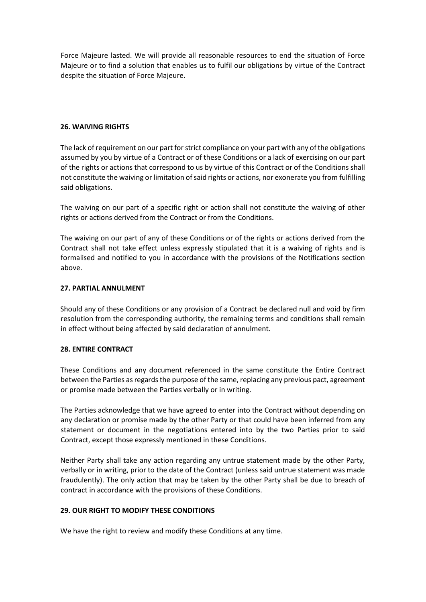Force Majeure lasted. We will provide all reasonable resources to end the situation of Force Majeure or to find a solution that enables us to fulfil our obligations by virtue of the Contract despite the situation of Force Majeure.

### **26. WAIVING RIGHTS**

The lack of requirement on our part for strict compliance on your part with any of the obligations assumed by you by virtue of a Contract or of these Conditions or a lack of exercising on our part of the rights or actions that correspond to us by virtue of this Contract or of the Conditions shall not constitute the waiving or limitation of said rights or actions, nor exonerate you from fulfilling said obligations.

The waiving on our part of a specific right or action shall not constitute the waiving of other rights or actions derived from the Contract or from the Conditions.

The waiving on our part of any of these Conditions or of the rights or actions derived from the Contract shall not take effect unless expressly stipulated that it is a waiving of rights and is formalised and notified to you in accordance with the provisions of the Notifications section above.

### **27. PARTIAL ANNULMENT**

Should any of these Conditions or any provision of a Contract be declared null and void by firm resolution from the corresponding authority, the remaining terms and conditions shall remain in effect without being affected by said declaration of annulment.

### **28. ENTIRE CONTRACT**

These Conditions and any document referenced in the same constitute the Entire Contract between the Parties as regards the purpose of the same, replacing any previous pact, agreement or promise made between the Parties verbally or in writing.

The Parties acknowledge that we have agreed to enter into the Contract without depending on any declaration or promise made by the other Party or that could have been inferred from any statement or document in the negotiations entered into by the two Parties prior to said Contract, except those expressly mentioned in these Conditions.

Neither Party shall take any action regarding any untrue statement made by the other Party, verbally or in writing, prior to the date of the Contract (unless said untrue statement was made fraudulently). The only action that may be taken by the other Party shall be due to breach of contract in accordance with the provisions of these Conditions.

### **29. OUR RIGHT TO MODIFY THESE CONDITIONS**

We have the right to review and modify these Conditions at any time.